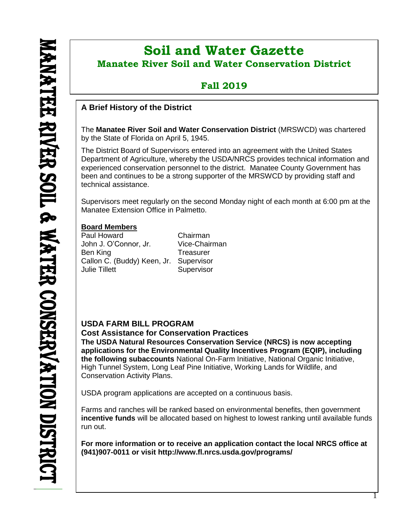l

# **Soil and Water Gazette Manatee River Soil and Water Conservation District**

# **Fall 2019**

### **A Brief History of the District**

The **Manatee River Soil and Water Conservation District** (MRSWCD) was chartered by the State of Florida on April 5, 1945.

The District Board of Supervisors entered into an agreement with the United States Department of Agriculture, whereby the USDA/NRCS provides technical information and experienced conservation personnel to the district. Manatee County Government has been and continues to be a strong supporter of the MRSWCD by providing staff and technical assistance.

Supervisors meet regularly on the second Monday night of each month at 6:00 pm at the Manatee Extension Office in Palmetto.

#### **Board Members**

Paul Howard Chairman John J. O'Connor, Jr. Vice-Chairman Ben King **Treasurer** Callon C. (Buddy) Keen, Jr. Supervisor Julie Tillett Supervisor

#### **USDA FARM BILL PROGRAM**

**Cost Assistance for Conservation Practices**

**The USDA Natural Resources Conservation Service (NRCS) is now accepting applications for the Environmental Quality Incentives Program (EQIP), including the following subaccounts** National On-Farm Initiative, National Organic Initiative, High Tunnel System, Long Leaf Pine Initiative, Working Lands for Wildlife, and Conservation Activity Plans.

USDA program applications are accepted on a continuous basis.

Farms and ranches will be ranked based on environmental benefits, then government **incentive funds** will be allocated based on highest to lowest ranking until available funds run out.

**For more information or to receive an application contact the local NRCS office at (941)907-0011 or visit <http://www.fl.nrcs.usda.gov/programs/>**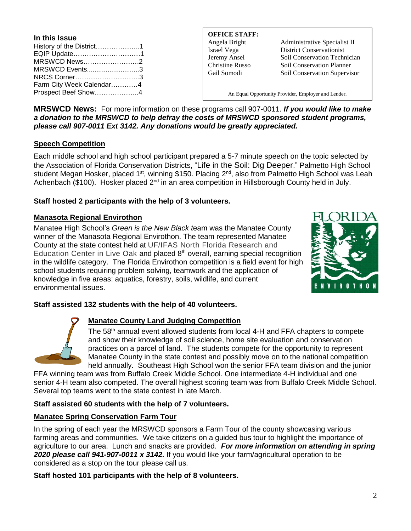| In this Issue            |  |
|--------------------------|--|
| History of the District1 |  |
| EQIP Update1             |  |
| MRSWCD News2             |  |
| MRSWCD Events3           |  |
| NRCS Corner3             |  |
| Farm City Week Calendar4 |  |
| Prospect Beef Show4      |  |

# **OFFICE STAFF:**

Angela Bright Administrative Specialist II Israel Vega District Conservationist Jeremy Ansel Soil Conservation Technician Christine Russo Soil Conservation Planner Gail Somodi Soil Conservation Supervisor

An Equal Opportunity Provider, Employer and Lender.

**MRSWCD News:** For more information on these programs call 907-0011. *If you would like to make a donation to the MRSWCD to help defray the costs of MRSWCD sponsored student programs, please call 907-0011 Ext 3142. Any donations would be greatly appreciated.*

#### **Speech Competition**

Each middle school and high school participant prepared a 5-7 minute speech on the topic selected by the Association of Florida Conservation Districts, "Life in the Soil: Dig Deeper." Palmetto High School student Megan Hosker, placed 1<sup>st</sup>, winning \$150. Placing 2<sup>nd</sup>, also from Palmetto High School was Leah Achenbach (\$100). Hosker placed  $2^{nd}$  in an area competition in Hillsborough County held in July.

#### **Staff hosted 2 participants with the help of 3 volunteers.**

#### **Manasota Regional Envirothon**

Manatee High School's *Green is the New Black t*eam was the Manatee County winner of the Manasota Regional Envirothon. The team represented Manatee County at the state contest held at UF/IFAS North Florida Research and Education Center in Live Oak and placed 8<sup>th</sup> overall, earning special recognition in the wildlife category. The Florida Envirothon competition is a field event for high school students requiring problem solving, teamwork and the application of knowledge in five areas: aquatics, forestry, soils, wildlife, and current environmental issues.



#### **Staff assisted 132 students with the help of 40 volunteers.**



#### **Manatee County Land Judging Competition**

The 58<sup>th</sup> annual event allowed students from local 4-H and FFA chapters to compete and show their knowledge of soil science, home site evaluation and conservation practices on a parcel of land. The students compete for the opportunity to represent Manatee County in the state contest and possibly move on to the national competition held annually. Southeast High School won the senior FFA team division and the junior

FFA winning team was from Buffalo Creek Middle School. One intermediate 4-H individual and one senior 4-H team also competed. The overall highest scoring team was from Buffalo Creek Middle School. Several top teams went to the state contest in late March.

#### **Staff assisted 60 students with the help of 7 volunteers.**

#### **Manatee Spring Conservation Farm Tour**

In the spring of each year the MRSWCD sponsors a Farm Tour of the county showcasing various farming areas and communities. We take citizens on a guided bus tour to highlight the importance of agriculture to our area. Lunch and snacks are provided. *For more information on attending in spring 2020 please call 941-907-0011 x 3142.* If you would like your farm/agricultural operation to be considered as a stop on the tour please call us.

**Staff hosted 101 participants with the help of 8 volunteers.**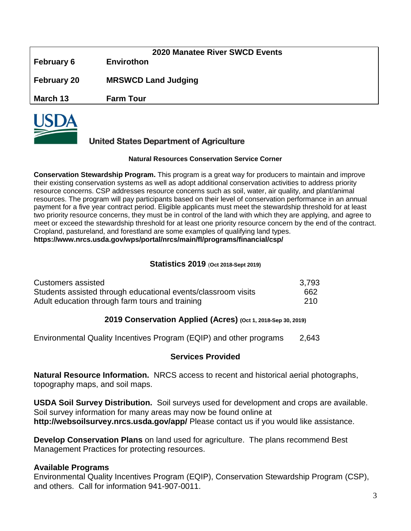| <b>February 6</b>  | <b>2020 Manatee River SWCD Events</b><br><b>Envirothon</b> |
|--------------------|------------------------------------------------------------|
| <b>February 20</b> | <b>MRSWCD Land Judging</b>                                 |
| March 13           | <b>Farm Tour</b>                                           |



#### **United States Department of Agriculture**

#### **Natural Resources Conservation Service Corner**

**Conservation Stewardship Program.** This program is a great way for producers to maintain and improve their existing conservation systems as well as adopt additional conservation activities to address priority resource concerns. CSP addresses resource concerns such as soil, water, air quality, and plant/animal resources. The program will pay participants based on their level of conservation performance in an annual payment for a five year contract period. Eligible applicants must meet the stewardship threshold for at least two priority resource concerns, they must be in control of the land with which they are applying, and agree to meet or exceed the stewardship threshold for at least one priority resource concern by the end of the contract. Cropland, pastureland, and forestland are some examples of qualifying land types. **<https://www.nrcs.usda.gov/wps/portal/nrcs/main/fl/programs/financial/csp/>**

#### **Statistics 2019** (**Oct 2018-Sept 2019)**

| Customers assisted                                            | 3,793 |
|---------------------------------------------------------------|-------|
| Students assisted through educational events/classroom visits | 662   |
| Adult education through farm tours and training               | 210   |

#### **2019 Conservation Applied (Acres) (Oct 1, 2018-Sep 30, 2019)**

Environmental Quality Incentives Program (EQIP) and other programs 2,643

#### **Services Provided**

**Natural Resource Information.** NRCS access to recent and historical aerial photographs, topography maps, and soil maps.

**USDA Soil Survey Distribution.** Soil surveys used for development and crops are available. Soil survey information for many areas may now be found online at **<http://websoilsurvey.nrcs.usda.gov/app/>** Please contact us if you would like assistance.

**Develop Conservation Plans** on land used for agriculture. The plans recommend Best Management Practices for protecting resources.

#### **Available Programs**

Environmental Quality Incentives Program (EQIP), Conservation Stewardship Program (CSP), and others. Call for information 941-907-0011.